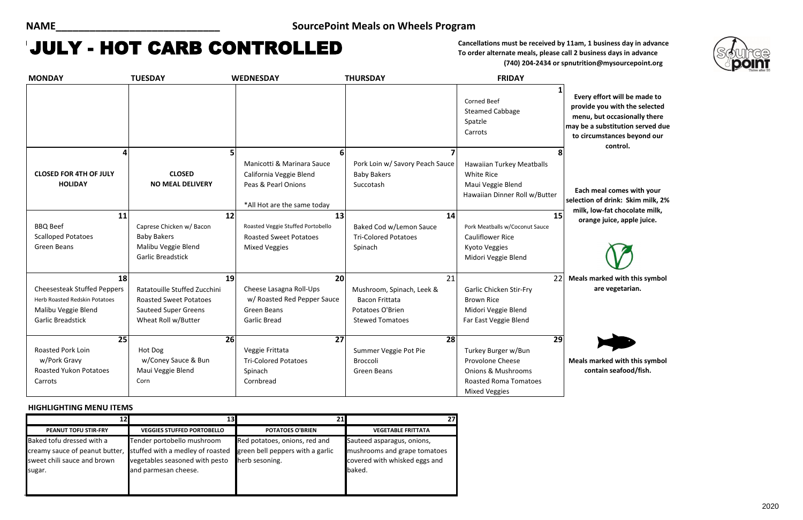# MAY **Cancellations must be received by 11am, 1 business day in advance** JULY - HOT CARB CONTROLLED

**To order alternate meals, please call 2 business days in advance (740) 204-2434 or spnutrition@mysourcepoint.org**

### **HIGHLIGHTING MENU ITEMS**

| <b>MONDAY</b>                                   | <b>TUESDAY</b>                           | <b>WEDNESDAY</b>                                                                                            | <b>THURSDAY</b>                                                    | <b>FRIDAY</b>                                                                                        |                                                        |
|-------------------------------------------------|------------------------------------------|-------------------------------------------------------------------------------------------------------------|--------------------------------------------------------------------|------------------------------------------------------------------------------------------------------|--------------------------------------------------------|
|                                                 |                                          |                                                                                                             |                                                                    | <b>Corned Beef</b><br><b>Steamed Cabbage</b><br>Spatzle<br>Carrots                                   | <b>Every</b><br>provid<br>menu,<br>may be a<br>to circ |
| 4                                               |                                          | 5                                                                                                           | 6                                                                  | 8                                                                                                    |                                                        |
| <b>CLOSED FOR 4TH OF JULY</b><br><b>HOLIDAY</b> | <b>CLOSED</b><br><b>NO MEAL DELIVERY</b> | Manicotti & Marinara Sauce<br>California Veggie Blend<br>Peas & Pearl Onions<br>*All Hot are the same today | Pork Loin w/ Savory Peach Sauce<br><b>Baby Bakers</b><br>Succotash | Hawaiian Turkey Meatballs<br><b>White Rice</b><br>Maui Veggie Blend<br>Hawaiian Dinner Roll w/Butter | Each<br>selection                                      |
| 11                                              | 12                                       | 13                                                                                                          | 14                                                                 | 15                                                                                                   | milk, l                                                |
| <b>BBQ Beef</b>                                 | Caprese Chicken w/ Bacon                 | Roasted Veggie Stuffed Portobello                                                                           | Baked Cod w/Lemon Sauce                                            | Pork Meatballs w/Coconut Sauce                                                                       |                                                        |
| <b>Scalloped Potatoes</b>                       | <b>Baby Bakers</b>                       | <b>Roasted Sweet Potatoes</b>                                                                               | <b>Tri-Colored Potatoes</b>                                        | <b>Cauliflower Rice</b>                                                                              |                                                        |
| <b>Green Beans</b>                              | Malibu Veggie Blend                      | <b>Mixed Veggies</b>                                                                                        | Spinach                                                            | Kyoto Veggies                                                                                        |                                                        |
|                                                 | <b>Garlic Breadstick</b>                 |                                                                                                             |                                                                    | Midori Veggie Blend                                                                                  |                                                        |
| 18                                              | 19                                       | 20                                                                                                          | 21                                                                 | 22                                                                                                   | <b>Meals</b> r                                         |
| <b>Cheesesteak Stuffed Peppers</b>              | Ratatouille Stuffed Zucchini             | Cheese Lasagna Roll-Ups                                                                                     | Mushroom, Spinach, Leek &                                          | <b>Garlic Chicken Stir-Fry</b>                                                                       |                                                        |
| Herb Roasted Redskin Potatoes                   | <b>Roasted Sweet Potatoes</b>            | w/ Roasted Red Pepper Sauce                                                                                 | <b>Bacon Frittata</b>                                              | <b>Brown Rice</b>                                                                                    |                                                        |
| Malibu Veggie Blend                             | <b>Sauteed Super Greens</b>              | <b>Green Beans</b>                                                                                          | Potatoes O'Brien                                                   | Midori Veggie Blend                                                                                  |                                                        |
| <b>Garlic Breadstick</b>                        | Wheat Roll w/Butter                      | <b>Garlic Bread</b>                                                                                         | <b>Stewed Tomatoes</b>                                             | Far East Veggie Blend                                                                                |                                                        |
| $\overline{25}$                                 | $\overline{26}$                          | $\overline{27}$                                                                                             | 28                                                                 | $\overline{29}$                                                                                      |                                                        |
| <b>Roasted Pork Loin</b>                        | Hot Dog                                  | Veggie Frittata                                                                                             | Summer Veggie Pot Pie                                              | Turkey Burger w/Bun                                                                                  |                                                        |
| w/Pork Gravy                                    | w/Coney Sauce & Bun                      | <b>Tri-Colored Potatoes</b>                                                                                 | Broccoli                                                           | Provolone Cheese                                                                                     | Meals r                                                |
| <b>Roasted Yukon Potatoes</b>                   | Maui Veggie Blend                        | Spinach                                                                                                     | <b>Green Beans</b>                                                 | <b>Onions &amp; Mushrooms</b>                                                                        |                                                        |
| Carrots                                         | Corn                                     | Cornbread                                                                                                   |                                                                    | <b>Roasted Roma Tomatoes</b>                                                                         |                                                        |
|                                                 |                                          |                                                                                                             |                                                                    | <b>Mixed Veggies</b>                                                                                 |                                                        |

**Every effort will be made to provide you with the selected menu, but occasionally there may be a substitution served due to circumstances beyond our control.**

| <b>PEANUT TOFU STIR-FRY</b>                                   | <b>VEGGIES STUFFED PORTOBELLO</b>                                  | <b>POTATOES O'BRIEN</b>                            | <b>VEGETABLE FRITTATA</b>                                     |
|---------------------------------------------------------------|--------------------------------------------------------------------|----------------------------------------------------|---------------------------------------------------------------|
| Baked tofu dressed with a                                     | Tender portobello mushroom                                         | Red potatoes, onions, red and                      | Sauteed asparagus, onions,                                    |
| creamy sauce of peanut butter,<br>sweet chili sauce and brown | stuffed with a medley of roasted<br>vegetables seasoned with pesto | green bell peppers with a garlic<br>herb sesoning. | mushrooms and grape tomatoes<br>covered with whisked eggs and |
| sugar.                                                        | and parmesan cheese.                                               |                                                    | baked.                                                        |



**Each meal comes with your selection of drink: Skim milk, 2%**  low-fat chocolate milk, **orange juice, apple juice.**



**Meals marked with this symbol are vegetarian.**

**Meals marked with this symbol contain seafood/fish.**